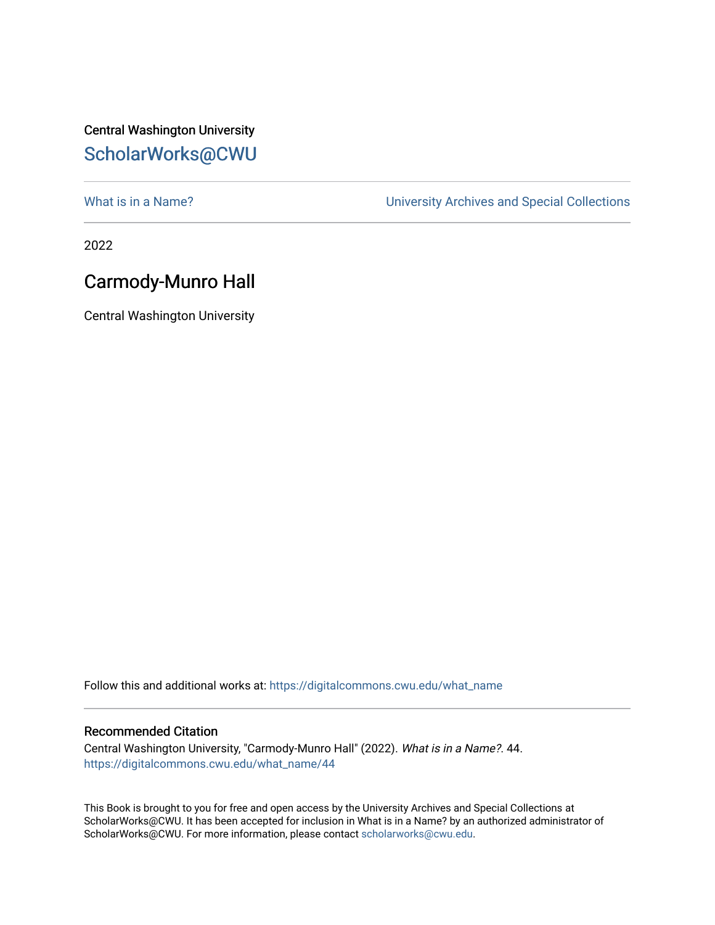## Central Washington University [ScholarWorks@CWU](https://digitalcommons.cwu.edu/)

What is in a Name?<br>
University Archives and Special Collections

2022

## Carmody-Munro Hall

Central Washington University

Follow this and additional works at: [https://digitalcommons.cwu.edu/what\\_name](https://digitalcommons.cwu.edu/what_name?utm_source=digitalcommons.cwu.edu%2Fwhat_name%2F44&utm_medium=PDF&utm_campaign=PDFCoverPages) 

## Recommended Citation

Central Washington University, "Carmody-Munro Hall" (2022). What is in a Name?. 44. [https://digitalcommons.cwu.edu/what\\_name/44](https://digitalcommons.cwu.edu/what_name/44?utm_source=digitalcommons.cwu.edu%2Fwhat_name%2F44&utm_medium=PDF&utm_campaign=PDFCoverPages) 

This Book is brought to you for free and open access by the University Archives and Special Collections at ScholarWorks@CWU. It has been accepted for inclusion in What is in a Name? by an authorized administrator of ScholarWorks@CWU. For more information, please contact [scholarworks@cwu.edu](mailto:scholarworks@cwu.edu).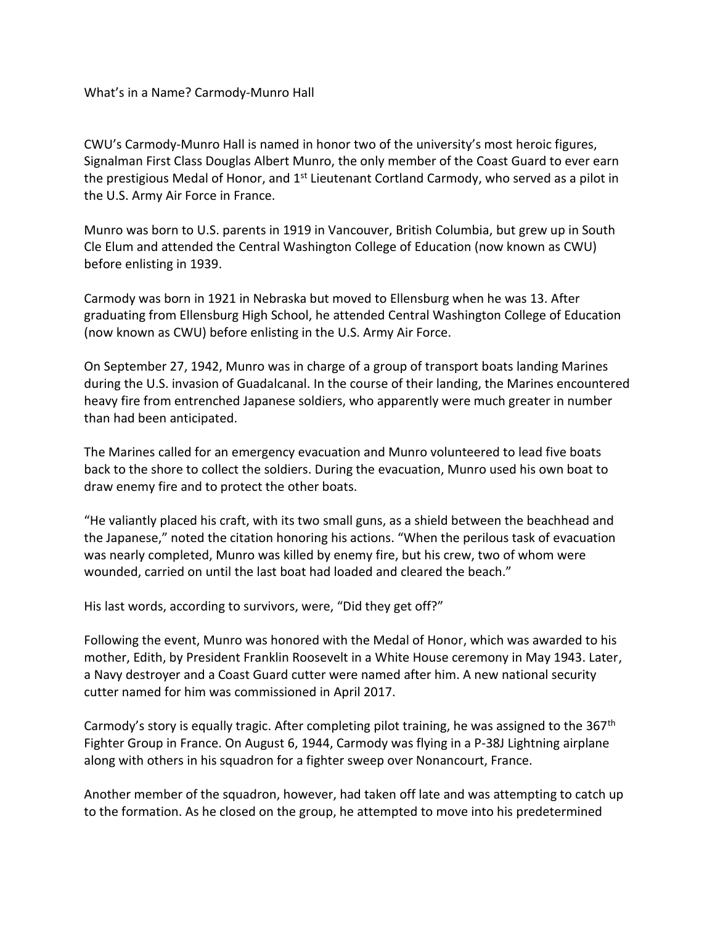What's in a Name? Carmody-Munro Hall

CWU's Carmody-Munro Hall is named in honor two of the university's most heroic figures, Signalman First Class Douglas Albert Munro, the only member of the Coast Guard to ever earn the prestigious Medal of Honor, and 1<sup>st</sup> Lieutenant Cortland Carmody, who served as a pilot in the U.S. Army Air Force in France.

Munro was born to U.S. parents in 1919 in Vancouver, British Columbia, but grew up in South Cle Elum and attended the Central Washington College of Education (now known as CWU) before enlisting in 1939.

Carmody was born in 1921 in Nebraska but moved to Ellensburg when he was 13. After graduating from Ellensburg High School, he attended Central Washington College of Education (now known as CWU) before enlisting in the U.S. Army Air Force.

On September 27, 1942, Munro was in charge of a group of transport boats landing Marines during the U.S. invasion of Guadalcanal. In the course of their landing, the Marines encountered heavy fire from entrenched Japanese soldiers, who apparently were much greater in number than had been anticipated.

The Marines called for an emergency evacuation and Munro volunteered to lead five boats back to the shore to collect the soldiers. During the evacuation, Munro used his own boat to draw enemy fire and to protect the other boats.

"He valiantly placed his craft, with its two small guns, as a shield between the beachhead and the Japanese," noted the citation honoring his actions. "When the perilous task of evacuation was nearly completed, Munro was killed by enemy fire, but his crew, two of whom were wounded, carried on until the last boat had loaded and cleared the beach."

His last words, according to survivors, were, "Did they get off?"

Following the event, Munro was honored with the Medal of Honor, which was awarded to his mother, Edith, by President Franklin Roosevelt in a White House ceremony in May 1943. Later, a Navy destroyer and a Coast Guard cutter were named after him. A new national security cutter named for him was commissioned in April 2017.

Carmody's story is equally tragic. After completing pilot training, he was assigned to the 367<sup>th</sup> Fighter Group in France. On August 6, 1944, Carmody was flying in a P-38J Lightning airplane along with others in his squadron for a fighter sweep over Nonancourt, France.

Another member of the squadron, however, had taken off late and was attempting to catch up to the formation. As he closed on the group, he attempted to move into his predetermined